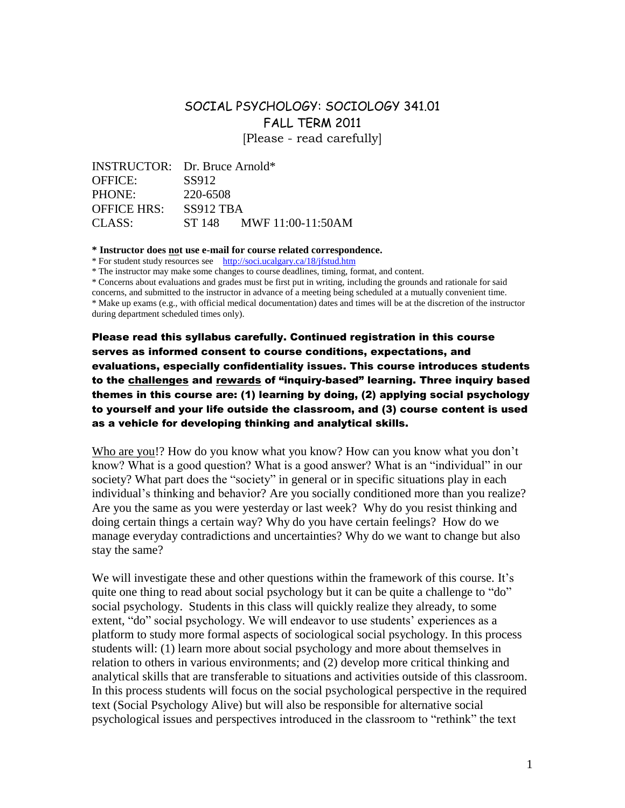# SOCIAL PSYCHOLOGY: SOCIOLOGY 341.01 FALL TERM 2011 [Please - read carefully]

INSTRUCTOR: Dr. Bruce Arnold\* OFFICE: SS912 PHONE: 220-6508 OFFICE HRS: SS912 TBA CLASS: ST 148 MWF 11:00-11:50AM

**\* Instructor does not use e-mail for course related correspondence.**

\* For student study resources see http://soci.ucalgary.ca/18/jfstud.htm

\* The instructor may make some changes to course deadlines, timing, format, and content.

\* Concerns about evaluations and grades must be first put in writing, including the grounds and rationale for said

concerns, and submitted to the instructor in advance of a meeting being scheduled at a mutually convenient time. \* Make up exams (e.g., with official medical documentation) dates and times will be at the discretion of the instructor during department scheduled times only).

Please read this syllabus carefully. Continued registration in this course serves as informed consent to course conditions, expectations, and evaluations, especially confidentiality issues. This course introduces students to the challenges and rewards of "inquiry-based" learning. Three inquiry based themes in this course are: (1) learning by doing, (2) applying social psychology to yourself and your life outside the classroom, and (3) course content is used as a vehicle for developing thinking and analytical skills.

Who are you!? How do you know what you know? How can you know what you don't know? What is a good question? What is a good answer? What is an "individual" in our society? What part does the "society" in general or in specific situations play in each individual's thinking and behavior? Are you socially conditioned more than you realize? Are you the same as you were yesterday or last week? Why do you resist thinking and doing certain things a certain way? Why do you have certain feelings? How do we manage everyday contradictions and uncertainties? Why do we want to change but also stay the same?

We will investigate these and other questions within the framework of this course. It's quite one thing to read about social psychology but it can be quite a challenge to "do" social psychology. Students in this class will quickly realize they already, to some extent, "do" social psychology. We will endeavor to use students' experiences as a platform to study more formal aspects of sociological social psychology. In this process students will: (1) learn more about social psychology and more about themselves in relation to others in various environments; and (2) develop more critical thinking and analytical skills that are transferable to situations and activities outside of this classroom. In this process students will focus on the social psychological perspective in the required text (Social Psychology Alive) but will also be responsible for alternative social psychological issues and perspectives introduced in the classroom to "rethink" the text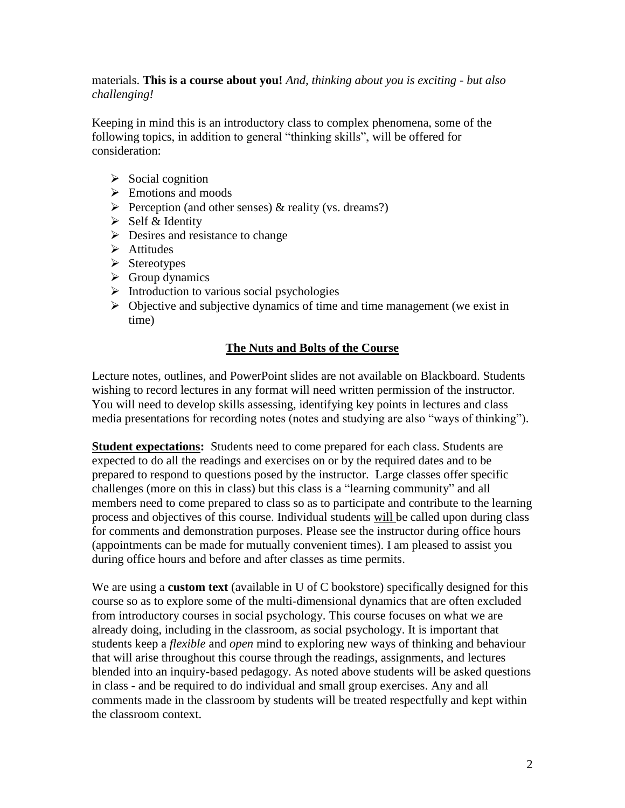### materials. **This is a course about you!** *And, thinking about you is exciting - but also challenging!*

Keeping in mind this is an introductory class to complex phenomena, some of the following topics, in addition to general "thinking skills", will be offered for consideration:

- $\triangleright$  Social cognition
- $\triangleright$  Emotions and moods
- Perception (and other senses)  $\&$  reality (vs. dreams?)
- $\triangleright$  Self & Identity
- $\triangleright$  Desires and resistance to change
- $\triangleright$  Attitudes
- $\triangleright$  Stereotypes
- $\triangleright$  Group dynamics
- $\triangleright$  Introduction to various social psychologies
- $\triangleright$  Objective and subjective dynamics of time and time management (we exist in time)

### **The Nuts and Bolts of the Course**

Lecture notes, outlines, and PowerPoint slides are not available on Blackboard. Students wishing to record lectures in any format will need written permission of the instructor. You will need to develop skills assessing, identifying key points in lectures and class media presentations for recording notes (notes and studying are also "ways of thinking").

**Student expectations:** Students need to come prepared for each class. Students are expected to do all the readings and exercises on or by the required dates and to be prepared to respond to questions posed by the instructor. Large classes offer specific challenges (more on this in class) but this class is a "learning community" and all members need to come prepared to class so as to participate and contribute to the learning process and objectives of this course. Individual students will be called upon during class for comments and demonstration purposes. Please see the instructor during office hours (appointments can be made for mutually convenient times). I am pleased to assist you during office hours and before and after classes as time permits.

We are using a **custom text** (available in U of C bookstore) specifically designed for this course so as to explore some of the multi-dimensional dynamics that are often excluded from introductory courses in social psychology. This course focuses on what we are already doing, including in the classroom, as social psychology. It is important that students keep a *flexible* and *open* mind to exploring new ways of thinking and behaviour that will arise throughout this course through the readings, assignments, and lectures blended into an inquiry-based pedagogy. As noted above students will be asked questions in class - and be required to do individual and small group exercises. Any and all comments made in the classroom by students will be treated respectfully and kept within the classroom context.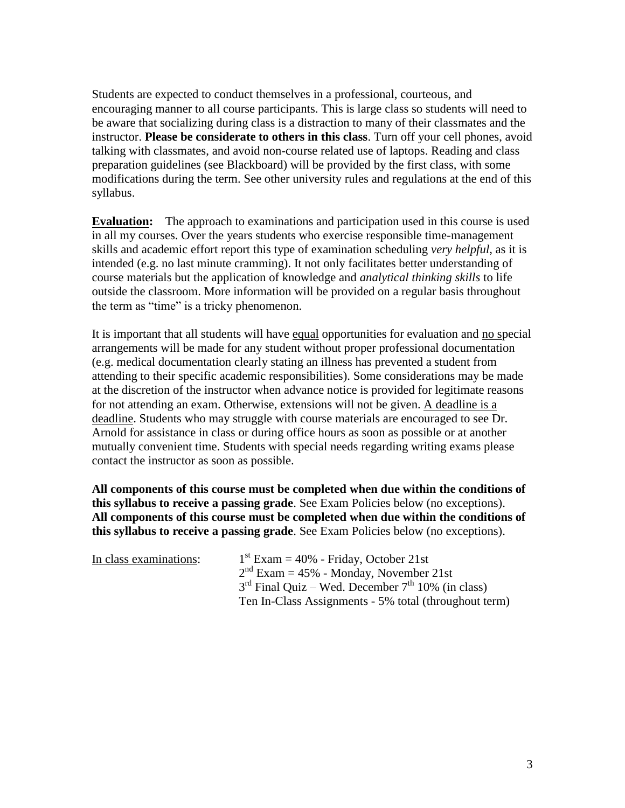Students are expected to conduct themselves in a professional, courteous, and encouraging manner to all course participants. This is large class so students will need to be aware that socializing during class is a distraction to many of their classmates and the instructor. **Please be considerate to others in this class**. Turn off your cell phones, avoid talking with classmates, and avoid non-course related use of laptops. Reading and class preparation guidelines (see Blackboard) will be provided by the first class, with some modifications during the term. See other university rules and regulations at the end of this syllabus.

**Evaluation:** The approach to examinations and participation used in this course is used in all my courses. Over the years students who exercise responsible time-management skills and academic effort report this type of examination scheduling *very helpful*, as it is intended (e.g. no last minute cramming). It not only facilitates better understanding of course materials but the application of knowledge and *analytical thinking skills* to life outside the classroom. More information will be provided on a regular basis throughout the term as "time" is a tricky phenomenon.

It is important that all students will have equal opportunities for evaluation and no special arrangements will be made for any student without proper professional documentation (e.g. medical documentation clearly stating an illness has prevented a student from attending to their specific academic responsibilities). Some considerations may be made at the discretion of the instructor when advance notice is provided for legitimate reasons for not attending an exam. Otherwise, extensions will not be given. A deadline is a deadline. Students who may struggle with course materials are encouraged to see Dr. Arnold for assistance in class or during office hours as soon as possible or at another mutually convenient time. Students with special needs regarding writing exams please contact the instructor as soon as possible.

**All components of this course must be completed when due within the conditions of this syllabus to receive a passing grade**. See Exam Policies below (no exceptions). **All components of this course must be completed when due within the conditions of this syllabus to receive a passing grade**. See Exam Policies below (no exceptions).

| In class examinations: | $1st$ Exam = 40% - Friday, October 21st               |
|------------------------|-------------------------------------------------------|
|                        | $2nd$ Exam = 45% - Monday, November 21st              |
|                        | $3rd$ Final Quiz – Wed. December $7th$ 10% (in class) |
|                        | Ten In-Class Assignments - 5% total (throughout term) |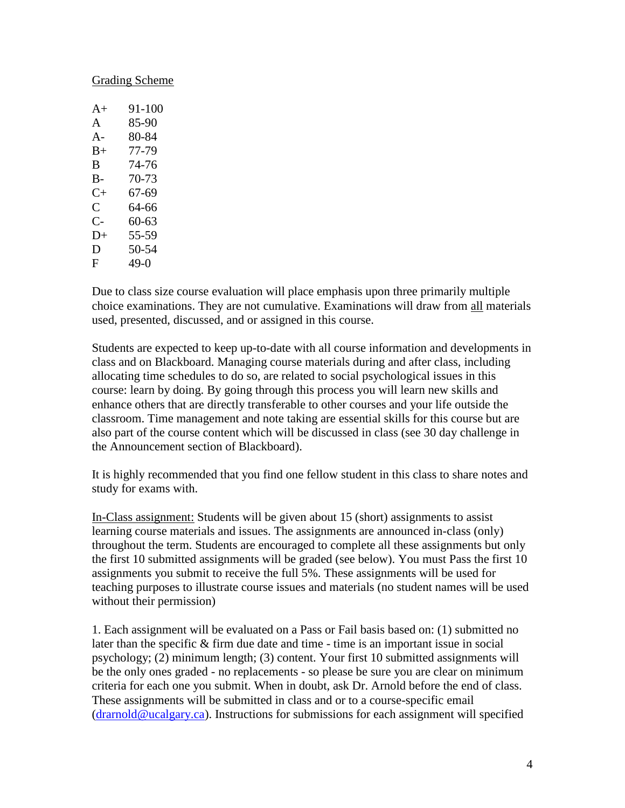#### Grading Scheme

| 91-100 |
|--------|
| 85-90  |
| 80-84  |
| 77-79  |
| 74-76  |
| 70-73  |
| 67-69  |
| 64-66  |
| 60-63  |
| 55-59  |
| 50-54  |
| 49-0   |
|        |

Due to class size course evaluation will place emphasis upon three primarily multiple choice examinations. They are not cumulative. Examinations will draw from all materials used, presented, discussed, and or assigned in this course.

Students are expected to keep up-to-date with all course information and developments in class and on Blackboard. Managing course materials during and after class, including allocating time schedules to do so, are related to social psychological issues in this course: learn by doing. By going through this process you will learn new skills and enhance others that are directly transferable to other courses and your life outside the classroom. Time management and note taking are essential skills for this course but are also part of the course content which will be discussed in class (see 30 day challenge in the Announcement section of Blackboard).

It is highly recommended that you find one fellow student in this class to share notes and study for exams with.

In-Class assignment: Students will be given about 15 (short) assignments to assist learning course materials and issues. The assignments are announced in-class (only) throughout the term. Students are encouraged to complete all these assignments but only the first 10 submitted assignments will be graded (see below). You must Pass the first 10 assignments you submit to receive the full 5%. These assignments will be used for teaching purposes to illustrate course issues and materials (no student names will be used without their permission)

1. Each assignment will be evaluated on a Pass or Fail basis based on: (1) submitted no later than the specific & firm due date and time - time is an important issue in social psychology; (2) minimum length; (3) content. Your first 10 submitted assignments will be the only ones graded - no replacements - so please be sure you are clear on minimum criteria for each one you submit. When in doubt, ask Dr. Arnold before the end of class. These assignments will be submitted in class and or to a course-specific email [\(drarnold@ucalgary.ca\)](mailto:drarnold@ucalgary.ca). Instructions for submissions for each assignment will specified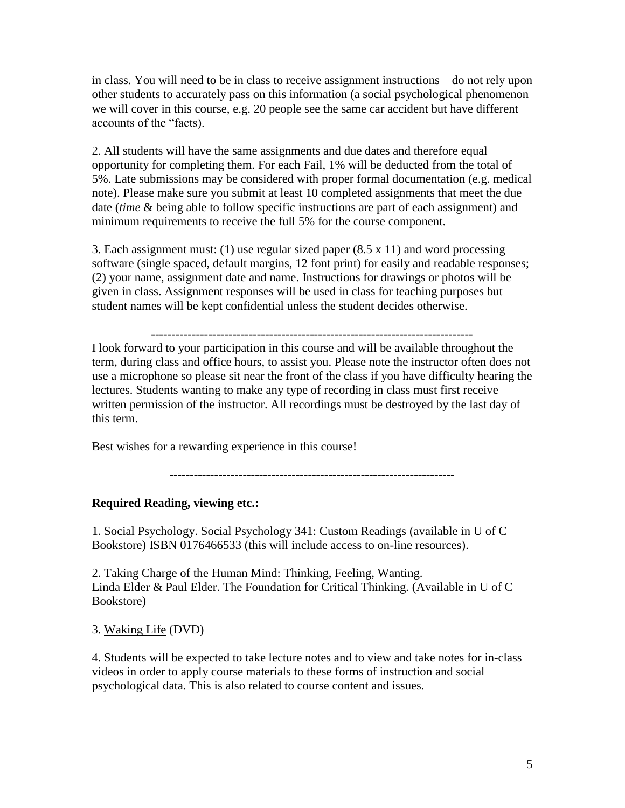in class. You will need to be in class to receive assignment instructions – do not rely upon other students to accurately pass on this information (a social psychological phenomenon we will cover in this course, e.g. 20 people see the same car accident but have different accounts of the "facts).

2. All students will have the same assignments and due dates and therefore equal opportunity for completing them. For each Fail, 1% will be deducted from the total of 5%. Late submissions may be considered with proper formal documentation (e.g. medical note). Please make sure you submit at least 10 completed assignments that meet the due date (*time* & being able to follow specific instructions are part of each assignment) and minimum requirements to receive the full 5% for the course component.

3. Each assignment must: (1) use regular sized paper (8.5 x 11) and word processing software (single spaced, default margins, 12 font print) for easily and readable responses; (2) your name, assignment date and name. Instructions for drawings or photos will be given in class. Assignment responses will be used in class for teaching purposes but student names will be kept confidential unless the student decides otherwise.

-------------------------------------------------------------------------------

I look forward to your participation in this course and will be available throughout the term, during class and office hours, to assist you. Please note the instructor often does not use a microphone so please sit near the front of the class if you have difficulty hearing the lectures. Students wanting to make any type of recording in class must first receive written permission of the instructor. All recordings must be destroyed by the last day of this term.

Best wishes for a rewarding experience in this course!

----------------------------------------------------------------------

#### **Required Reading, viewing etc.:**

1. Social Psychology. Social Psychology 341: Custom Readings (available in U of C Bookstore) ISBN 0176466533 (this will include access to on-line resources).

2. Taking Charge of the Human Mind: Thinking, Feeling, Wanting. Linda Elder & Paul Elder. The Foundation for Critical Thinking. (Available in U of C Bookstore)

3. Waking Life (DVD)

4. Students will be expected to take lecture notes and to view and take notes for in-class videos in order to apply course materials to these forms of instruction and social psychological data. This is also related to course content and issues.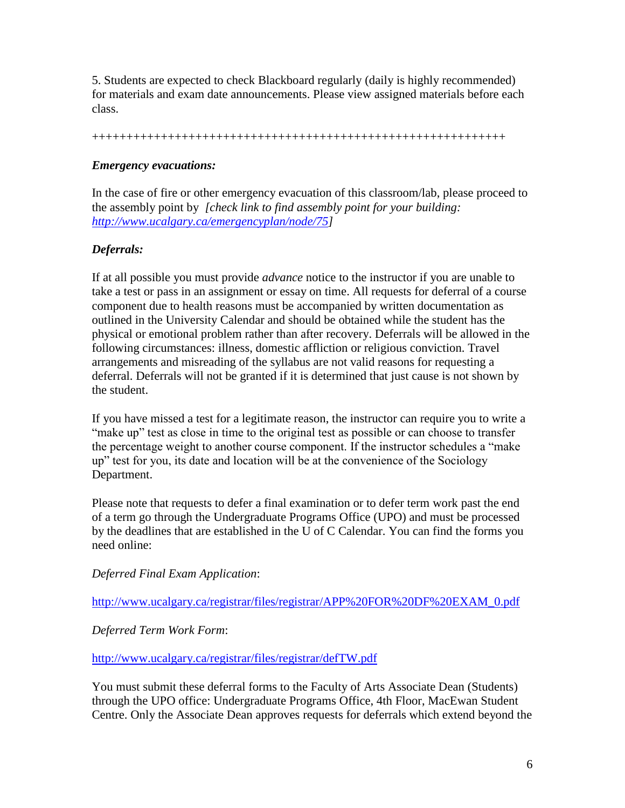5. Students are expected to check Blackboard regularly (daily is highly recommended) for materials and exam date announcements. Please view assigned materials before each class.

++++++++++++++++++++++++++++++++++++++++++++++++++++++++++++

## *Emergency evacuations:*

In the case of fire or other emergency evacuation of this classroom/lab, please proceed to the assembly point by *[check link to find assembly point for your building: [http://www.ucalgary.ca/emergencyplan/node/75\]](http://www.ucalgary.ca/emergencyplan/node/75)*

## *Deferrals:*

If at all possible you must provide *advance* notice to the instructor if you are unable to take a test or pass in an assignment or essay on time. All requests for deferral of a course component due to health reasons must be accompanied by written documentation as outlined in the University Calendar and should be obtained while the student has the physical or emotional problem rather than after recovery. Deferrals will be allowed in the following circumstances: illness, domestic affliction or religious conviction. Travel arrangements and misreading of the syllabus are not valid reasons for requesting a deferral. Deferrals will not be granted if it is determined that just cause is not shown by the student.

If you have missed a test for a legitimate reason, the instructor can require you to write a "make up" test as close in time to the original test as possible or can choose to transfer the percentage weight to another course component. If the instructor schedules a "make up" test for you, its date and location will be at the convenience of the Sociology Department.

Please note that requests to defer a final examination or to defer term work past the end of a term go through the Undergraduate Programs Office (UPO) and must be processed by the deadlines that are established in the U of C Calendar. You can find the forms you need online:

*Deferred Final Exam Application*:

[http://www.ucalgary.ca/registrar/files/registrar/APP%20FOR%20DF%20EXAM\\_0.pdf](http://www.ucalgary.ca/registrar/files/registrar/APP%20FOR%20DF%20EXAM_0.pdf)

*Deferred Term Work Form*:

<http://www.ucalgary.ca/registrar/files/registrar/defTW.pdf>

You must submit these deferral forms to the Faculty of Arts Associate Dean (Students) through the UPO office: Undergraduate Programs Office, 4th Floor, MacEwan Student Centre. Only the Associate Dean approves requests for deferrals which extend beyond the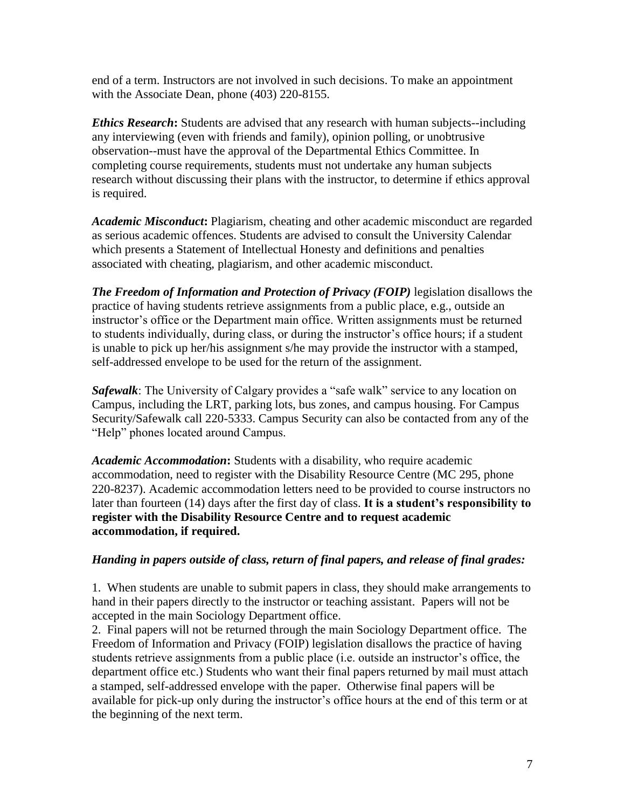end of a term. Instructors are not involved in such decisions. To make an appointment with the Associate Dean, phone (403) 220-8155.

*Ethics Research***:** Students are advised that any research with human subjects--including any interviewing (even with friends and family), opinion polling, or unobtrusive observation--must have the approval of the Departmental Ethics Committee. In completing course requirements, students must not undertake any human subjects research without discussing their plans with the instructor, to determine if ethics approval is required.

*Academic Misconduct***:** Plagiarism, cheating and other academic misconduct are regarded as serious academic offences. Students are advised to consult the University Calendar which presents a Statement of Intellectual Honesty and definitions and penalties associated with cheating, plagiarism, and other academic misconduct.

*The Freedom of Information and Protection of Privacy (FOIP)* legislation disallows the practice of having students retrieve assignments from a public place, e.g., outside an instructor's office or the Department main office. Written assignments must be returned to students individually, during class, or during the instructor's office hours; if a student is unable to pick up her/his assignment s/he may provide the instructor with a stamped, self-addressed envelope to be used for the return of the assignment.

*Safewalk*: The University of Calgary provides a "safe walk" service to any location on Campus, including the LRT, parking lots, bus zones, and campus housing. For Campus Security/Safewalk call 220-5333. Campus Security can also be contacted from any of the "Help" phones located around Campus.

*Academic Accommodation***:** Students with a disability, who require academic accommodation, need to register with the Disability Resource Centre (MC 295, phone 220-8237). Academic accommodation letters need to be provided to course instructors no later than fourteen (14) days after the first day of class. **It is a student's responsibility to register with the Disability Resource Centre and to request academic accommodation, if required.** 

## *Handing in papers outside of class, return of final papers, and release of final grades:*

1. When students are unable to submit papers in class, they should make arrangements to hand in their papers directly to the instructor or teaching assistant. Papers will not be accepted in the main Sociology Department office.

2. Final papers will not be returned through the main Sociology Department office. The Freedom of Information and Privacy (FOIP) legislation disallows the practice of having students retrieve assignments from a public place (i.e. outside an instructor's office, the department office etc.) Students who want their final papers returned by mail must attach a stamped, self-addressed envelope with the paper. Otherwise final papers will be available for pick-up only during the instructor's office hours at the end of this term or at the beginning of the next term.